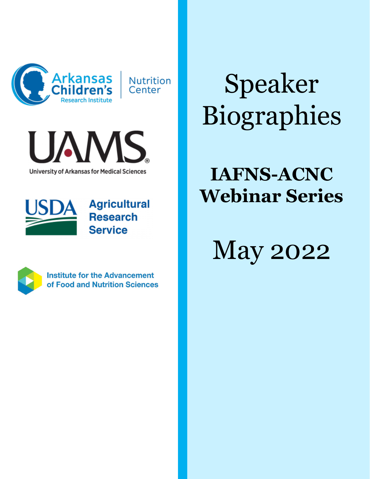



**University of Arkansas for Medical Sciences** 



**Agricultural Research Service** 



**Institute for the Advancement** of Food and Nutrition Sciences

Speaker Biographies

### **IAFNS-ACNC Webinar Series**

May 2022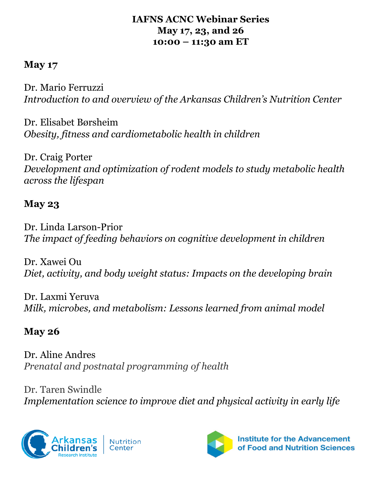#### **IAFNS ACNC Webinar Series May 17, 23, and 26 10:00 – 11:30 am ET**

#### **May 17**

Dr. Mario Ferruzzi *Introduction to and overview of the Arkansas Children's Nutrition Center*

Dr. Elisabet Børsheim *Obesity, fitness and cardiometabolic health in children*

Dr. Craig Porter *Development and optimization of rodent models to study metabolic health across the lifespan* 

### **May 23**

Dr. Linda Larson-Prior *The impact of feeding behaviors on cognitive development in children* 

Dr. Xawei Ou *Diet, activity, and body weight status: Impacts on the developing brain*

Dr. Laxmi Yeruva *Milk, microbes, and metabolism: Lessons learned from animal model*

### **May 26**

Dr. Aline Andres *Prenatal and postnatal programming of health*

Dr. Taren Swindle *Implementation science to improve diet and physical activity in early life*



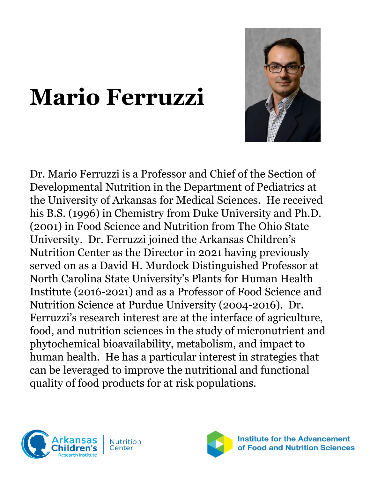## **Mario Ferruzzi**





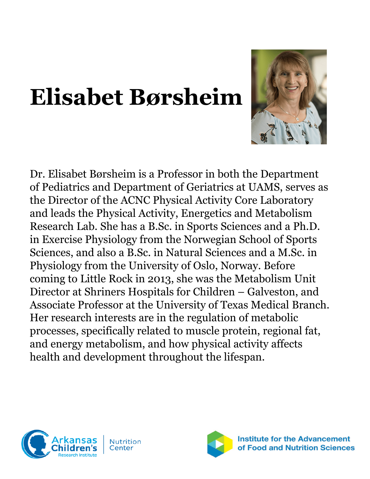# **Elisabet Børsheim**



Dr. Elisabet Børsheim is a Professor in both the Department of Pediatrics and Department of Geriatrics at UAMS, serves as the Director of the ACNC Physical Activity Core Laboratory and leads the Physical Activity, Energetics and Metabolism Research Lab. She has a B.Sc. in Sports Sciences and a Ph.D. in Exercise Physiology from the Norwegian School of Sports Sciences, and also a B.Sc. in Natural Sciences and a M.Sc. in Physiology from the University of Oslo, Norway. Before coming to Little Rock in 2013, she was the Metabolism Unit Director at Shriners Hospitals for Children – Galveston, and Associate Professor at the University of Texas Medical Branch. Her research interests are in the regulation of metabolic processes, specifically related to muscle protein, regional fat, and energy metabolism, and how physical activity affects health and development throughout the lifespan.



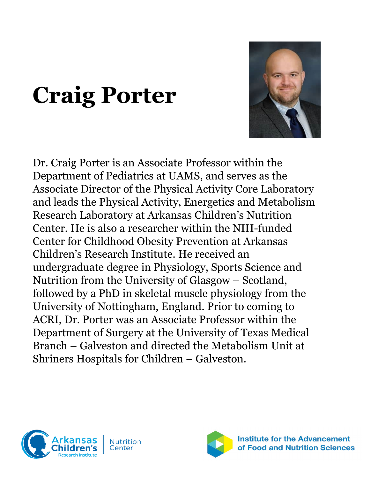# **Craig Porter**



Dr. Craig Porter is an Associate Professor within the Department of Pediatrics at UAMS, and serves as the Associate Director of the Physical Activity Core Laboratory and leads the Physical Activity, Energetics and Metabolism Research Laboratory at Arkansas Children's Nutrition Center. He is also a researcher within the NIH-funded Center for Childhood Obesity Prevention at Arkansas Children's Research Institute. He received an undergraduate degree in Physiology, Sports Science and Nutrition from the University of Glasgow – Scotland, followed by a PhD in skeletal muscle physiology from the University of Nottingham, England. Prior to coming to ACRI, Dr. Porter was an Associate Professor within the Department of Surgery at the University of Texas Medical Branch – Galveston and directed the Metabolism Unit at Shriners Hospitals for Children – Galveston.



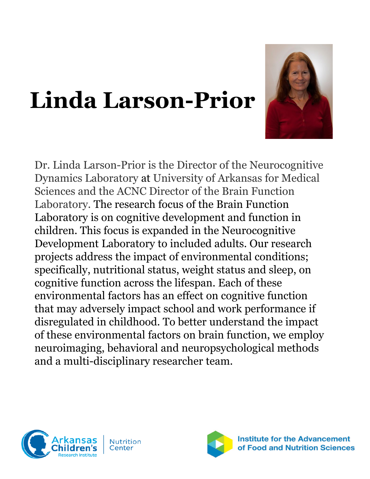# **Linda Larson-Prior**



Dr. Linda Larson-Prior is the Director of the Neurocognitive Dynamics Laboratory at University of Arkansas for Medical Sciences and the ACNC Director of the Brain Function Laboratory. The research focus of the Brain Function Laboratory is on cognitive development and function in children. This focus is expanded in the Neurocognitive Development Laboratory to included adults. Our research projects address the impact of environmental conditions; specifically, nutritional status, weight status and sleep, on cognitive function across the lifespan. Each of these environmental factors has an effect on cognitive function that may adversely impact school and work performance if disregulated in childhood. To better understand the impact of these environmental factors on brain function, we employ neuroimaging, behavioral and neuropsychological methods and a multi-disciplinary researcher team.



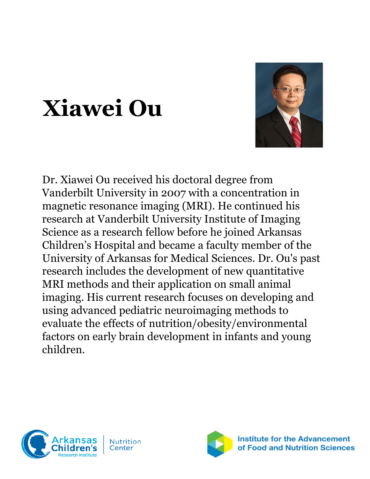

# **Xiawei Ou**

Dr. Xiawei Ou received his doctoral degree from Vanderbilt University in 2007 with a concentration in magnetic resonance imaging (MRI). He continued his research at Vanderbilt University Institute of Imaging Science as a research fellow before he joined Arkansas Children's Hospital and became a faculty member of the University of Arkansas for Medical Sciences. Dr. Ou's past research includes the development of new quantitative MRI methods and their application on small animal imaging. His current research focuses on developing and using advanced pediatric neuroimaging methods to evaluate the effects of nutrition/obesity/environmental factors on early brain development in infants and young children.



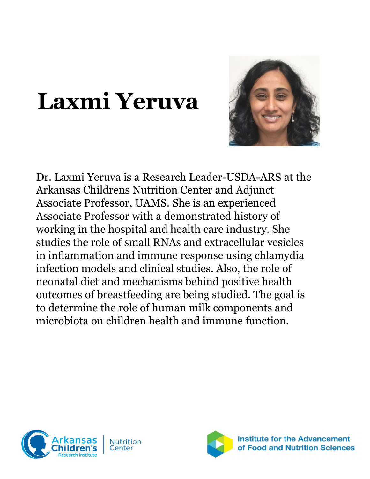## **Laxmi Yeruva**



Dr. Laxmi Yeruva is a Research Leader-USDA-ARS at the Arkansas Childrens Nutrition Center and Adjunct Associate Professor, UAMS. She is an experienced Associate Professor with a demonstrated history of working in the hospital and health care industry. She studies the role of small RNAs and extracellular vesicles in inflammation and immune response using chlamydia infection models and clinical studies. Also, the role of neonatal diet and mechanisms behind positive health outcomes of breastfeeding are being studied. The goal is to determine the role of human milk components and microbiota on children health and immune function.



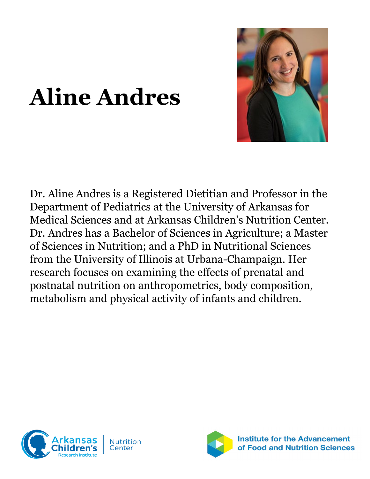

# **Aline Andres**

Dr. Aline Andres is a Registered Dietitian and Professor in the Department of Pediatrics at the University of Arkansas for Medical Sciences and at Arkansas Children's Nutrition Center. Dr. Andres has a Bachelor of Sciences in Agriculture; a Master of Sciences in Nutrition; and a PhD in Nutritional Sciences from the University of Illinois at Urbana-Champaign. Her research focuses on examining the effects of prenatal and postnatal nutrition on anthropometrics, body composition, metabolism and physical activity of infants and children.